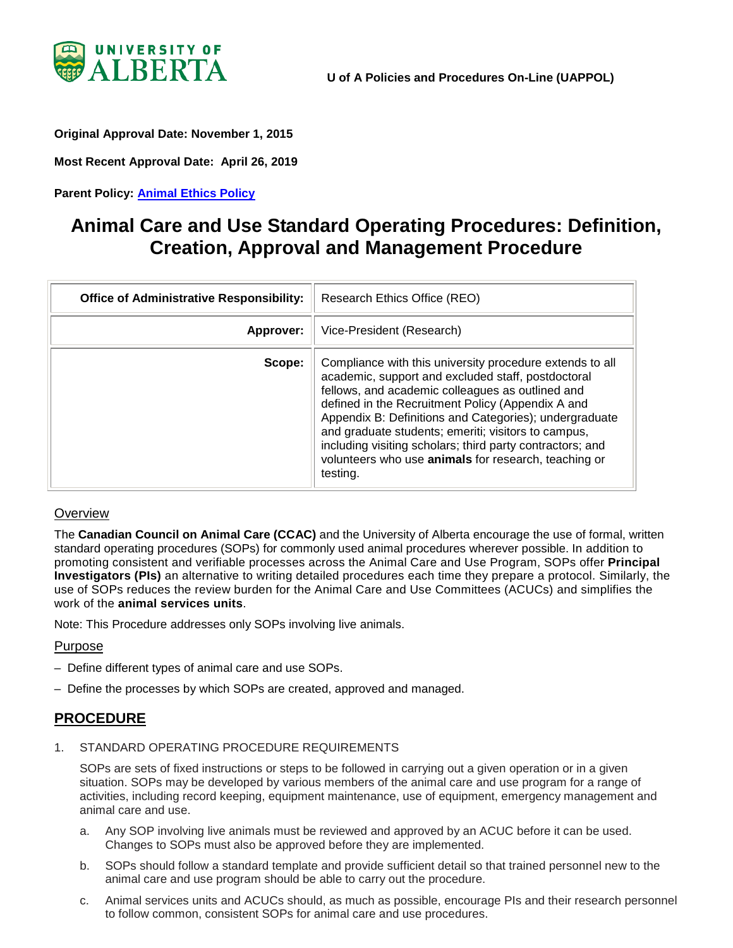

<span id="page-0-0"></span>**Original Approval Date: November 1, 2015**

**Most Recent Approval Date: April 26, 2019**

**Parent Policy: [Animal Ethics Policy](https://policiesonline.ualberta.ca/PoliciesProcedures/Policies/Animal-Ethics-Policy.pdf)**

# **Animal Care and Use Standard Operating Procedures: Definition, Creation, Approval and Management Procedure**

| <b>Office of Administrative Responsibility:</b> | Research Ethics Office (REO)                                                                                                                                                                                                                                                                                                                                                                                                                                              |
|-------------------------------------------------|---------------------------------------------------------------------------------------------------------------------------------------------------------------------------------------------------------------------------------------------------------------------------------------------------------------------------------------------------------------------------------------------------------------------------------------------------------------------------|
| Approver:                                       | Vice-President (Research)                                                                                                                                                                                                                                                                                                                                                                                                                                                 |
| Scope:                                          | Compliance with this university procedure extends to all<br>academic, support and excluded staff, postdoctoral<br>fellows, and academic colleagues as outlined and<br>defined in the Recruitment Policy (Appendix A and<br>Appendix B: Definitions and Categories); undergraduate<br>and graduate students; emeriti; visitors to campus,<br>including visiting scholars; third party contractors; and<br>volunteers who use animals for research, teaching or<br>testing. |

#### **Overview**

The **Canadian Council on Animal Care (CCAC)** and the University of Alberta encourage the use of formal, written standard operating procedures (SOPs) for commonly used animal procedures wherever possible. In addition to promoting consistent and verifiable processes across the Animal Care and Use Program, SOPs offer **Principal Investigators (PIs)** an alternative to writing detailed procedures each time they prepare a protocol. Similarly, the use of SOPs reduces the review burden for the Animal Care and Use Committees (ACUCs) and simplifies the work of the **animal services units**.

Note: This Procedure addresses only SOPs involving live animals.

#### Purpose

- Define different types of animal care and use SOPs.
- Define the processes by which SOPs are created, approved and managed.

# **PROCEDURE**

1. STANDARD OPERATING PROCEDURE REQUIREMENTS

SOPs are sets of fixed instructions or steps to be followed in carrying out a given operation or in a given situation. SOPs may be developed by various members of the animal care and use program for a range of activities, including record keeping, equipment maintenance, use of equipment, emergency management and animal care and use.

- a. Any SOP involving live animals must be reviewed and approved by an ACUC before it can be used. Changes to SOPs must also be approved before they are implemented.
- b. SOPs should follow a standard template and provide sufficient detail so that trained personnel new to the animal care and use program should be able to carry out the procedure.
- c. Animal services units and ACUCs should, as much as possible, encourage PIs and their research personnel to follow common, consistent SOPs for animal care and use procedures.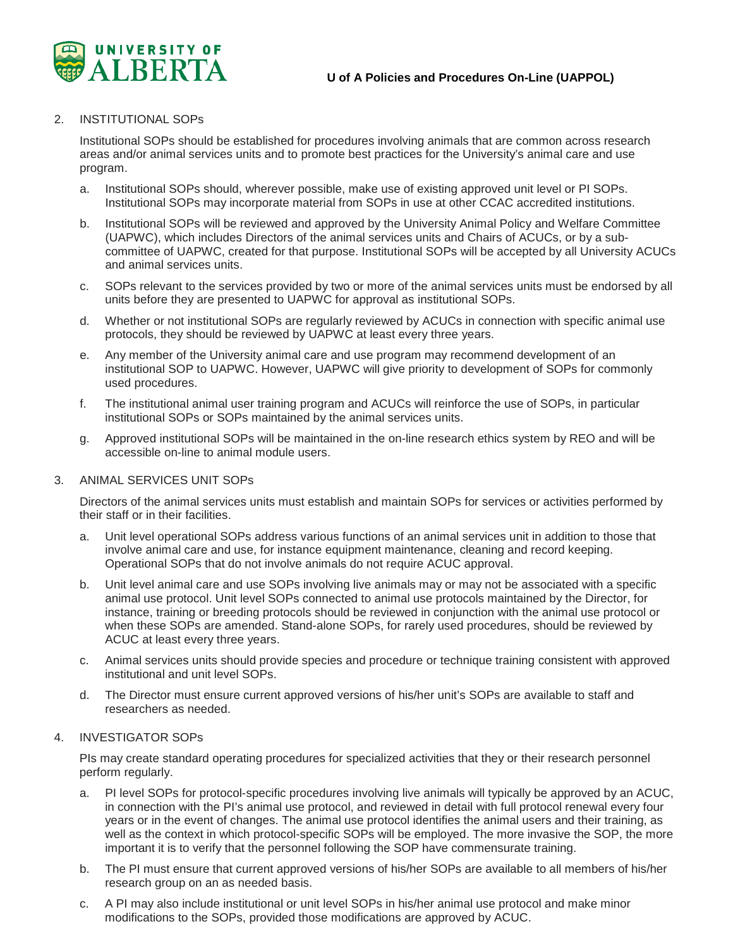

#### 2. INSTITUTIONAL SOPs

Institutional SOPs should be established for procedures involving animals that are common across research areas and/or animal services units and to promote best practices for the University's animal care and use program.

- a. Institutional SOPs should, wherever possible, make use of existing approved unit level or PI SOPs. Institutional SOPs may incorporate material from SOPs in use at other CCAC accredited institutions.
- b. Institutional SOPs will be reviewed and approved by the University Animal Policy and Welfare Committee (UAPWC), which includes Directors of the animal services units and Chairs of ACUCs, or by a subcommittee of UAPWC, created for that purpose. Institutional SOPs will be accepted by all University ACUCs and animal services units.
- c. SOPs relevant to the services provided by two or more of the animal services units must be endorsed by all units before they are presented to UAPWC for approval as institutional SOPs.
- d. Whether or not institutional SOPs are regularly reviewed by ACUCs in connection with specific animal use protocols, they should be reviewed by UAPWC at least every three years.
- e. Any member of the University animal care and use program may recommend development of an institutional SOP to UAPWC. However, UAPWC will give priority to development of SOPs for commonly used procedures.
- f. The institutional animal user training program and ACUCs will reinforce the use of SOPs, in particular institutional SOPs or SOPs maintained by the animal services units.
- g. Approved institutional SOPs will be maintained in the on-line research ethics system by REO and will be accessible on-line to animal module users.

#### 3. ANIMAL SERVICES UNIT SOPs

Directors of the animal services units must establish and maintain SOPs for services or activities performed by their staff or in their facilities.

- a. Unit level operational SOPs address various functions of an animal services unit in addition to those that involve animal care and use, for instance equipment maintenance, cleaning and record keeping. Operational SOPs that do not involve animals do not require ACUC approval.
- b. Unit level animal care and use SOPs involving live animals may or may not be associated with a specific animal use protocol. Unit level SOPs connected to animal use protocols maintained by the Director, for instance, training or breeding protocols should be reviewed in conjunction with the animal use protocol or when these SOPs are amended. Stand-alone SOPs, for rarely used procedures, should be reviewed by ACUC at least every three years.
- c. Animal services units should provide species and procedure or technique training consistent with approved institutional and unit level SOPs.
- d. The Director must ensure current approved versions of his/her unit's SOPs are available to staff and researchers as needed.

#### 4. INVESTIGATOR SOPs

PIs may create standard operating procedures for specialized activities that they or their research personnel perform regularly.

- a. PI level SOPs for protocol-specific procedures involving live animals will typically be approved by an ACUC, in connection with the PI's animal use protocol, and reviewed in detail with full protocol renewal every four years or in the event of changes. The animal use protocol identifies the animal users and their training, as well as the context in which protocol-specific SOPs will be employed. The more invasive the SOP, the more important it is to verify that the personnel following the SOP have commensurate training.
- b. The PI must ensure that current approved versions of his/her SOPs are available to all members of his/her research group on an as needed basis.
- c. A PI may also include institutional or unit level SOPs in his/her animal use protocol and make minor modifications to the SOPs, provided those modifications are approved by ACUC.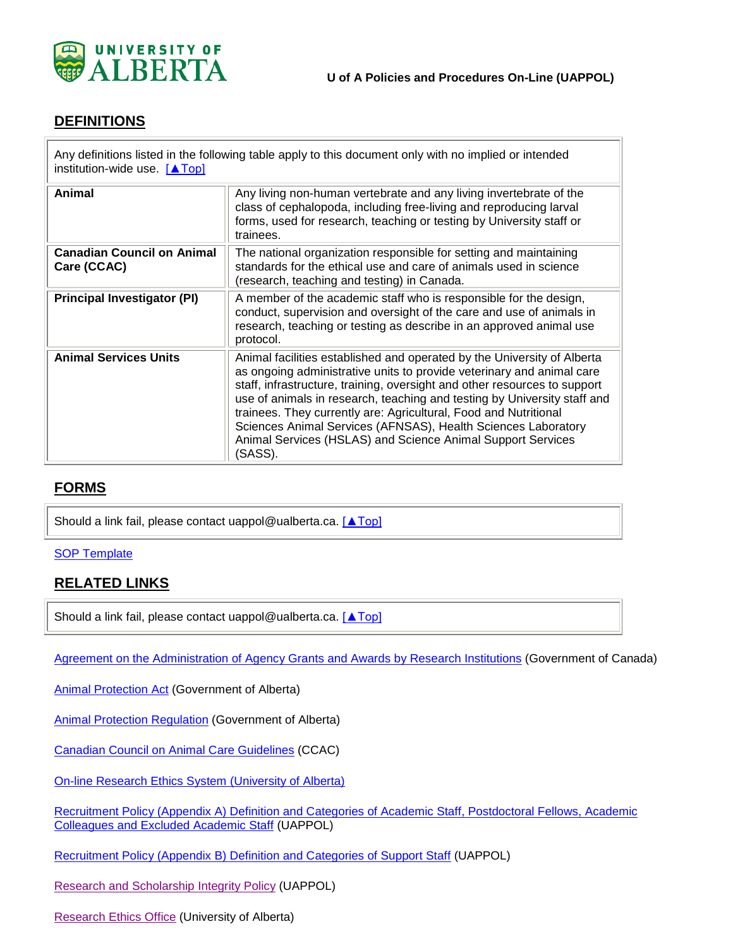

# **DEFINITIONS**

Any definitions listed in the following table apply to this document only with no implied or intended institution-wide use. [\[▲Top\]](#page-0-0)

| Animal                                           | Any living non-human vertebrate and any living invertebrate of the<br>class of cephalopoda, including free-living and reproducing larval<br>forms, used for research, teaching or testing by University staff or<br>trainees.                                                                                                                                                                                                                                                                                            |
|--------------------------------------------------|--------------------------------------------------------------------------------------------------------------------------------------------------------------------------------------------------------------------------------------------------------------------------------------------------------------------------------------------------------------------------------------------------------------------------------------------------------------------------------------------------------------------------|
| <b>Canadian Council on Animal</b><br>Care (CCAC) | The national organization responsible for setting and maintaining<br>standards for the ethical use and care of animals used in science<br>(research, teaching and testing) in Canada.                                                                                                                                                                                                                                                                                                                                    |
| <b>Principal Investigator (PI)</b>               | A member of the academic staff who is responsible for the design,<br>conduct, supervision and oversight of the care and use of animals in<br>research, teaching or testing as describe in an approved animal use<br>protocol.                                                                                                                                                                                                                                                                                            |
| <b>Animal Services Units</b>                     | Animal facilities established and operated by the University of Alberta<br>as ongoing administrative units to provide veterinary and animal care<br>staff, infrastructure, training, oversight and other resources to support<br>use of animals in research, teaching and testing by University staff and<br>trainees. They currently are: Agricultural, Food and Nutritional<br>Sciences Animal Services (AFNSAS), Health Sciences Laboratory<br>Animal Services (HSLAS) and Science Animal Support Services<br>(SASS). |

# **FORMS**

Should a link fail, please contact [uappol@ualberta.ca.](mailto:uappol@ualberta.ca) [\[▲Top\]](#page-0-0)

#### **[SOP Template](http://www.reo.ualberta.ca/en/Forms-Cabinet/%7E/media/reo/Animal-Ethics-Files/Forms/REO-SOP-Template-Jul14-14.docx)**

# **RELATED LINKS**

Should a link fail, please contact [uappol@ualberta.ca.](mailto:uappol@ualberta.ca) [A Top]

[Agreement on the Administration of Agency Grants and Awards by Research Institutions](http://science.gc.ca/default.asp?lang=En&n=56B87BE5-1) (Government of Canada)

[Animal Protection Act](http://www.qp.alberta.ca/) (Government of Alberta)

[Animal Protection Regulation](http://www.qp.alberta.ca/) (Government of Alberta)

[Canadian Council on Animal Care Guidelines](http://www.ccac.ca/en_/standards/guidelines/) (CCAC)

[On-line Research Ethics System](https://www.ualberta.ca/research/support/ethics-office/education-training-user-support) (University of Alberta)

[Recruitment Policy \(Appendix A\) Definition and Categories of Academic Staff, Postdoctoral Fellows, Academic](https://policiesonline.ualberta.ca/PoliciesProcedures/Procedures/Recruitment-Policy-Appendix-A-Definition-and-Categories-of-Academic-Staff-Administrators-and-Colleagues.pdf)  [Colleagues and Excluded Academic Staff](https://policiesonline.ualberta.ca/PoliciesProcedures/Procedures/Recruitment-Policy-Appendix-A-Definition-and-Categories-of-Academic-Staff-Administrators-and-Colleagues.pdf) (UAPPOL)

[Recruitment Policy \(Appendix B\) Definition and Categories of Support Staff](https://policiesonline.ualberta.ca/PoliciesProcedures/Procedures/Recruitment-Policy-Appendix-B-Definition-and-Categories-of-Support-Staff.pdf) (UAPPOL)

[Research and Scholarship Integrity Policy](https://policiesonline.ualberta.ca/PoliciesProcedures/Policies/Research-and-Scholarship-Integrity-Policy.pdf) (UAPPOL)

[Research Ethics Office](https://www.ualberta.ca/research/support/ethics-office/) (University of Alberta)